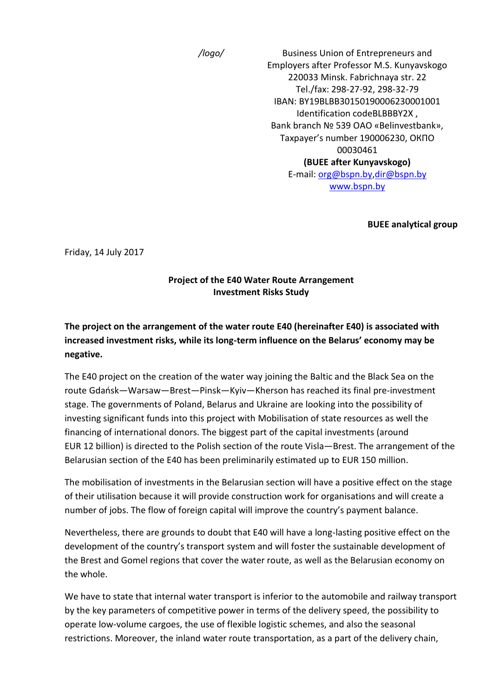*/logo/* Business Union of Entrepreneurs and Employers after Professor M.S. Kunyavskogo 220033 Minsk. Fabrichnaya str. 22 Tel./fax: 298-27-92, 298-32-79 IBAN: BY19BLBB30150190006230001001 Identification codeBLBBBY2X , Bank branch № 539 ОАО «Belinvestbank», Taxpayer's number 190006230, ОКПО 00030461 **(BUEE after Kunyavskogo)** E-mail: [org@bspn.by](mailto:org@bspn.by)[,dir@bspn.by](mailto:dir@bspn.by) [www.bspn.by](http://www.bspn.by/)

**BUEE analytical group**

Friday, 14 July 2017

#### **Project of the E40 Water Route Arrangement Investment Risks Study**

# **The project on the arrangement of the water route E40 (hereinafter E40) is associated with increased investment risks, while its long-term influence on the Belarus' economy may be negative.**

The E40 project on the creation of the water way joining the Baltic and the Black Sea on the route Gdańsk—Warsaw—Brest—Pinsk—Kyiv—Kherson has reached its final pre-investment stage. The governments of Poland, Belarus and Ukraine are looking into the possibility of investing significant funds into this project with Mobilisation of state resources as well the financing of international donors. The biggest part of the capital investments (around EUR 12 billion) is directed to the Polish section of the route Visla—Brest. The arrangement of the Belarusian section of the E40 has been preliminarily estimated up to EUR 150 million.

The mobilisation of investments in the Belarusian section will have a positive effect on the stage of their utilisation because it will provide construction work for organisations and will create a number of jobs. The flow of foreign capital will improve the country's payment balance.

Nevertheless, there are grounds to doubt that E40 will have a long-lasting positive effect on the development of the country's transport system and will foster the sustainable development of the Brest and Gomel regions that cover the water route, as well as the Belarusian economy on the whole.

We have to state that internal water transport is inferior to the automobile and railway transport by the key parameters of competitive power in terms of the delivery speed, the possibility to operate low-volume cargoes, the use of flexible logistic schemes, and also the seasonal restrictions. Moreover, the inland water route transportation, as a part of the delivery chain,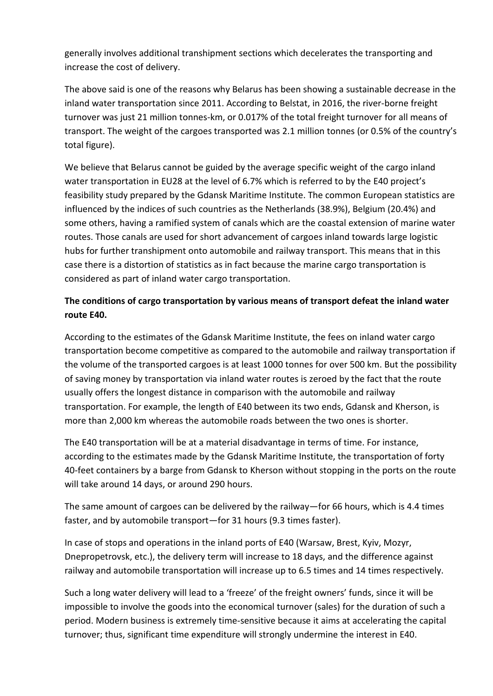generally involves additional transhipment sections which decelerates the transporting and increase the cost of delivery.

The above said is one of the reasons why Belarus has been showing a sustainable decrease in the inland water transportation since 2011. According to Belstat, in 2016, the river-borne freight turnover was just 21 million tonnes-km, or 0.017% of the total freight turnover for all means of transport. The weight of the cargoes transported was 2.1 million tonnes (or 0.5% of the country's total figure).

We believe that Belarus cannot be guided by the average specific weight of the cargo inland water transportation in EU28 at the level of 6.7% which is referred to by the E40 project's feasibility study prepared by the Gdansk Maritime Institute. The common European statistics are influenced by the indices of such countries as the Netherlands (38.9%), Belgium (20.4%) and some others, having a ramified system of canals which are the coastal extension of marine water routes. Those canals are used for short advancement of cargoes inland towards large logistic hubs for further transhipment onto automobile and railway transport. This means that in this case there is a distortion of statistics as in fact because the marine cargo transportation is considered as part of inland water cargo transportation.

## **The conditions of cargo transportation by various means of transport defeat the inland water route E40.**

According to the estimates of the Gdansk Maritime Institute, the fees on inland water cargo transportation become competitive as compared to the automobile and railway transportation if the volume of the transported cargoes is at least 1000 tonnes for over 500 km. But the possibility of saving money by transportation via inland water routes is zeroed by the fact that the route usually offers the longest distance in comparison with the automobile and railway transportation. For example, the length of E40 between its two ends, Gdansk and Kherson, is more than 2,000 km whereas the automobile roads between the two ones is shorter.

The E40 transportation will be at a material disadvantage in terms of time. For instance, according to the estimates made by the Gdansk Maritime Institute, the transportation of forty 40-feet containers by a barge from Gdansk to Kherson without stopping in the ports on the route will take around 14 days, or around 290 hours.

The same amount of cargoes can be delivered by the railway—for 66 hours, which is 4.4 times faster, and by automobile transport—for 31 hours (9.3 times faster).

In case of stops and operations in the inland ports of E40 (Warsaw, Brest, Kyiv, Mozyr, Dnepropetrovsk, etc.), the delivery term will increase to 18 days, and the difference against railway and automobile transportation will increase up to 6.5 times and 14 times respectively.

Such a long water delivery will lead to a 'freeze' of the freight owners' funds, since it will be impossible to involve the goods into the economical turnover (sales) for the duration of such a period. Modern business is extremely time-sensitive because it aims at accelerating the capital turnover; thus, significant time expenditure will strongly undermine the interest in E40.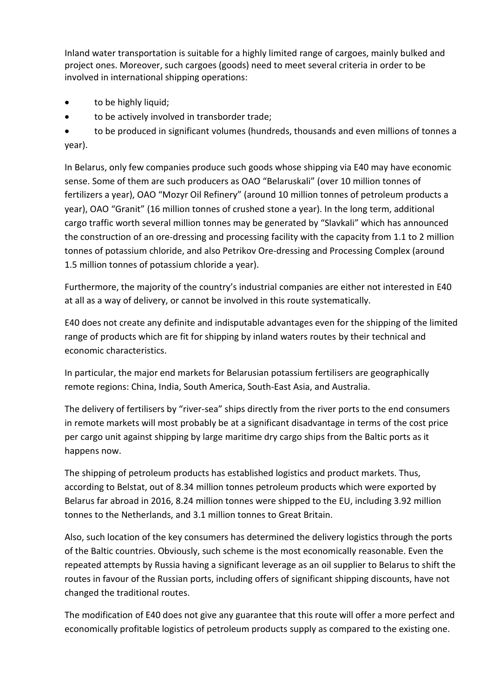Inland water transportation is suitable for a highly limited range of cargoes, mainly bulked and project ones. Moreover, such cargoes (goods) need to meet several criteria in order to be involved in international shipping operations:

- to be highly liquid;
- to be actively involved in transborder trade;

• to be produced in significant volumes (hundreds, thousands and even millions of tonnes a year).

In Belarus, only few companies produce such goods whose shipping via E40 may have economic sense. Some of them are such producers as OAO "Belaruskali" (over 10 million tonnes of fertilizers a year), OAO "Mozyr Oil Refinery" (around 10 million tonnes of petroleum products a year), OAO "Granit" (16 million tonnes of crushed stone a year). In the long term, additional cargo traffic worth several million tonnes may be generated by "Slavkali" which has announced the construction of an ore-dressing and processing facility with the capacity from 1.1 to 2 million tonnes of potassium chloride, and also Petrikov Ore-dressing and Processing Complex (around 1.5 million tonnes of potassium chloride a year).

Furthermore, the majority of the country's industrial companies are either not interested in E40 at all as a way of delivery, or cannot be involved in this route systematically.

E40 does not create any definite and indisputable advantages even for the shipping of the limited range of products which are fit for shipping by inland waters routes by their technical and economic characteristics.

In particular, the major end markets for Belarusian potassium fertilisers are geographically remote regions: China, India, South America, South-East Asia, and Australia.

The delivery of fertilisers by "river-sea" ships directly from the river ports to the end consumers in remote markets will most probably be at a significant disadvantage in terms of the cost price per cargo unit against shipping by large maritime dry cargo ships from the Baltic ports as it happens now.

The shipping of petroleum products has established logistics and product markets. Thus, according to Belstat, out of 8.34 million tonnes petroleum products which were exported by Belarus far abroad in 2016, 8.24 million tonnes were shipped to the EU, including 3.92 million tonnes to the Netherlands, and 3.1 million tonnes to Great Britain.

Also, such location of the key consumers has determined the delivery logistics through the ports of the Baltic countries. Obviously, such scheme is the most economically reasonable. Even the repeated attempts by Russia having a significant leverage as an oil supplier to Belarus to shift the routes in favour of the Russian ports, including offers of significant shipping discounts, have not changed the traditional routes.

The modification of E40 does not give any guarantee that this route will offer a more perfect and economically profitable logistics of petroleum products supply as compared to the existing one.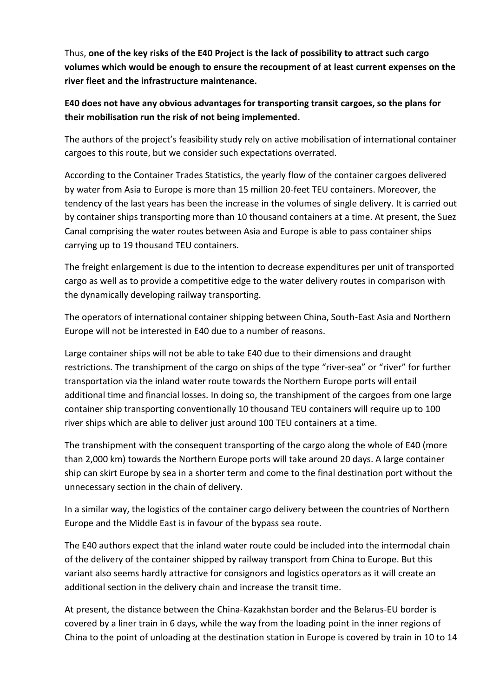Thus, **one of the key risks of the E40 Project is the lack of possibility to attract such cargo volumes which would be enough to ensure the recoupment of at least current expenses on the river fleet and the infrastructure maintenance.**

### **E40 does not have any obvious advantages for transporting transit cargoes, so the plans for their mobilisation run the risk of not being implemented.**

The authors of the project's feasibility study rely on active mobilisation of international container cargoes to this route, but we consider such expectations overrated.

According to the Container Trades Statistics, the yearly flow of the container cargoes delivered by water from Asia to Europe is more than 15 million 20-feet TEU containers. Moreover, the tendency of the last years has been the increase in the volumes of single delivery. It is carried out by container ships transporting more than 10 thousand containers at a time. At present, the Suez Canal comprising the water routes between Asia and Europe is able to pass container ships carrying up to 19 thousand TEU containers.

The freight enlargement is due to the intention to decrease expenditures per unit of transported cargo as well as to provide a competitive edge to the water delivery routes in comparison with the dynamically developing railway transporting.

The operators of international container shipping between China, South-East Asia and Northern Europe will not be interested in E40 due to a number of reasons.

Large container ships will not be able to take E40 due to their dimensions and draught restrictions. The transhipment of the cargo on ships of the type "river-sea" or "river" for further transportation via the inland water route towards the Northern Europe ports will entail additional time and financial losses. In doing so, the transhipment of the cargoes from one large container ship transporting conventionally 10 thousand TEU containers will require up to 100 river ships which are able to deliver just around 100 TEU containers at a time.

The transhipment with the consequent transporting of the cargo along the whole of E40 (more than 2,000 km) towards the Northern Europe ports will take around 20 days. A large container ship can skirt Europe by sea in a shorter term and come to the final destination port without the unnecessary section in the chain of delivery.

In a similar way, the logistics of the container cargo delivery between the countries of Northern Europe and the Middle East is in favour of the bypass sea route.

The E40 authors expect that the inland water route could be included into the intermodal chain of the delivery of the container shipped by railway transport from China to Europe. But this variant also seems hardly attractive for consignors and logistics operators as it will create an additional section in the delivery chain and increase the transit time.

At present, the distance between the China-Kazakhstan border and the Belarus-EU border is covered by a liner train in 6 days, while the way from the loading point in the inner regions of China to the point of unloading at the destination station in Europe is covered by train in 10 to 14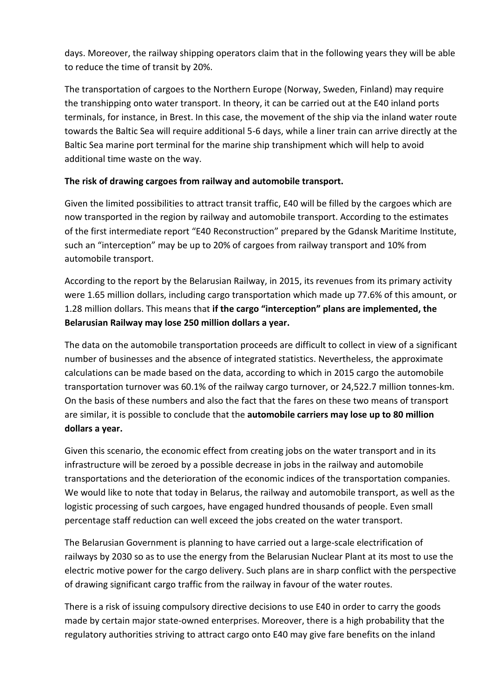days. Moreover, the railway shipping operators claim that in the following years they will be able to reduce the time of transit by 20%.

The transportation of cargoes to the Northern Europe (Norway, Sweden, Finland) may require the transhipping onto water transport. In theory, it can be carried out at the E40 inland ports terminals, for instance, in Brest. In this case, the movement of the ship via the inland water route towards the Baltic Sea will require additional 5-6 days, while a liner train can arrive directly at the Baltic Sea marine port terminal for the marine ship transhipment which will help to avoid additional time waste on the way.

#### **The risk of drawing cargoes from railway and automobile transport.**

Given the limited possibilities to attract transit traffic, E40 will be filled by the cargoes which are now transported in the region by railway and automobile transport. According to the estimates of the first intermediate report "E40 Reconstruction" prepared by the Gdansk Maritime Institute, such an "interception" may be up to 20% of cargoes from railway transport and 10% from automobile transport.

According to the report by the Belarusian Railway, in 2015, its revenues from its primary activity were 1.65 million dollars, including cargo transportation which made up 77.6% of this amount, or 1.28 million dollars. This means that **if the cargo "interception" plans are implemented, the Belarusian Railway may lose 250 million dollars a year.**

The data on the automobile transportation proceeds are difficult to collect in view of a significant number of businesses and the absence of integrated statistics. Nevertheless, the approximate calculations can be made based on the data, according to which in 2015 cargo the automobile transportation turnover was 60.1% of the railway cargo turnover, or 24,522.7 million tonnes-km. On the basis of these numbers and also the fact that the fares on these two means of transport are similar, it is possible to conclude that the **automobile carriers may lose up to 80 million dollars a year.**

Given this scenario, the economic effect from creating jobs on the water transport and in its infrastructure will be zeroed by a possible decrease in jobs in the railway and automobile transportations and the deterioration of the economic indices of the transportation companies. We would like to note that today in Belarus, the railway and automobile transport, as well as the logistic processing of such cargoes, have engaged hundred thousands of people. Even small percentage staff reduction can well exceed the jobs created on the water transport.

The Belarusian Government is planning to have carried out a large-scale electrification of railways by 2030 so as to use the energy from the Belarusian Nuclear Plant at its most to use the electric motive power for the cargo delivery. Such plans are in sharp conflict with the perspective of drawing significant cargo traffic from the railway in favour of the water routes.

There is a risk of issuing compulsory directive decisions to use E40 in order to carry the goods made by certain major state-owned enterprises. Moreover, there is a high probability that the regulatory authorities striving to attract cargo onto E40 may give fare benefits on the inland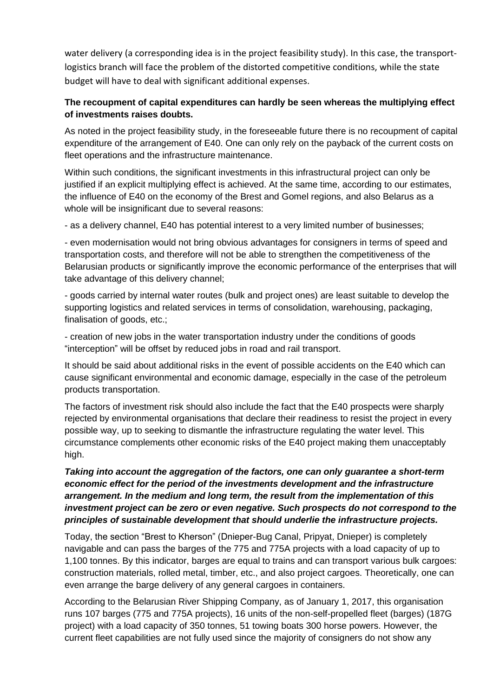water delivery (a corresponding idea is in the project feasibility study). In this case, the transportlogistics branch will face the problem of the distorted competitive conditions, while the state budget will have to deal with significant additional expenses.

### **The recoupment of capital expenditures can hardly be seen whereas the multiplying effect of investments raises doubts.**

As noted in the project feasibility study, in the foreseeable future there is no recoupment of capital expenditure of the arrangement of E40. One can only rely on the payback of the current costs on fleet operations and the infrastructure maintenance.

Within such conditions, the significant investments in this infrastructural project can only be justified if an explicit multiplying effect is achieved. At the same time, according to our estimates, the influence of E40 on the economy of the Brest and Gomel regions, and also Belarus as a whole will be insignificant due to several reasons:

- as a delivery channel, E40 has potential interest to a very limited number of businesses;

- even modernisation would not bring obvious advantages for consigners in terms of speed and transportation costs, and therefore will not be able to strengthen the competitiveness of the Belarusian products or significantly improve the economic performance of the enterprises that will take advantage of this delivery channel;

- goods carried by internal water routes (bulk and project ones) are least suitable to develop the supporting logistics and related services in terms of consolidation, warehousing, packaging, finalisation of goods, etc.;

- creation of new jobs in the water transportation industry under the conditions of goods "interception" will be offset by reduced jobs in road and rail transport.

It should be said about additional risks in the event of possible accidents on the E40 which can cause significant environmental and economic damage, especially in the case of the petroleum products transportation.

The factors of investment risk should also include the fact that the E40 prospects were sharply rejected by environmental organisations that declare their readiness to resist the project in every possible way, up to seeking to dismantle the infrastructure regulating the water level. This circumstance complements other economic risks of the E40 project making them unacceptably high.

### *Taking into account the aggregation of the factors, one can only guarantee a short-term economic effect for the period of the investments development and the infrastructure arrangement. In the medium and long term, the result from the implementation of this investment project can be zero or even negative. Such prospects do not correspond to the principles of sustainable development that should underlie the infrastructure projects.*

Today, the section "Brest to Kherson" (Dnieper-Bug Canal, Pripyat, Dnieper) is completely navigable and can pass the barges of the 775 and 775A projects with a load capacity of up to 1,100 tonnes. By this indicator, barges are equal to trains and can transport various bulk cargoes: construction materials, rolled metal, timber, etc., and also project cargoes. Theoretically, one can even arrange the barge delivery of any general cargoes in containers.

According to the Belarusian River Shipping Company, as of January 1, 2017, this organisation runs 107 barges (775 and 775A projects), 16 units of the non-self-propelled fleet (barges) (187G project) with a load capacity of 350 tonnes, 51 towing boats 300 horse powers. However, the current fleet capabilities are not fully used since the majority of consigners do not show any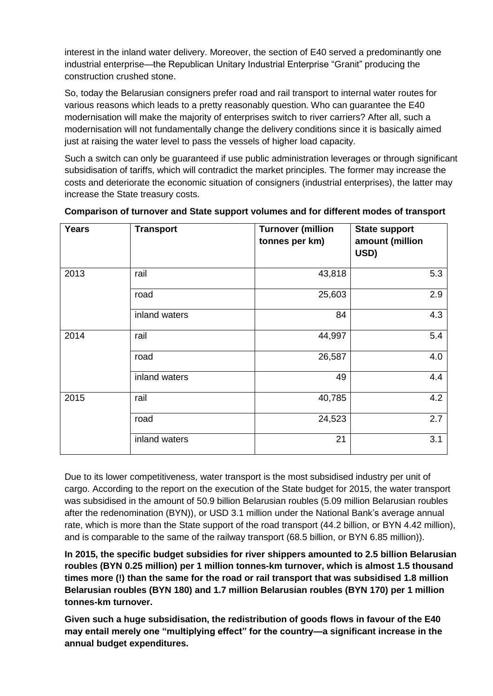interest in the inland water delivery. Moreover, the section of E40 served a predominantly one industrial enterprise—the Republican Unitary Industrial Enterprise "Granit" producing the construction crushed stone.

So, today the Belarusian consigners prefer road and rail transport to internal water routes for various reasons which leads to a pretty reasonably question. Who can guarantee the E40 modernisation will make the majority of enterprises switch to river carriers? After all, such a modernisation will not fundamentally change the delivery conditions since it is basically aimed just at raising the water level to pass the vessels of higher load capacity.

Such a switch can only be guaranteed if use public administration leverages or through significant subsidisation of tariffs, which will contradict the market principles. The former may increase the costs and deteriorate the economic situation of consigners (industrial enterprises), the latter may increase the State treasury costs.

| <b>Years</b> | <b>Transport</b> | <b>Turnover (million</b><br>tonnes per km) | <b>State support</b><br>amount (million<br>USD) |
|--------------|------------------|--------------------------------------------|-------------------------------------------------|
| 2013         | rail             | 43,818                                     | 5.3                                             |
|              | road             | 25,603                                     | 2.9                                             |
|              | inland waters    | 84                                         | 4.3                                             |
| 2014         | rail             | 44,997                                     | 5.4                                             |
|              | road             | 26,587                                     | 4.0                                             |
|              | inland waters    | 49                                         | 4.4                                             |
| 2015         | rail             | 40,785                                     | 4.2                                             |
|              | road             | 24,523                                     | 2.7                                             |
|              | inland waters    | 21                                         | 3.1                                             |

#### **Comparison of turnover and State support volumes and for different modes of transport**

Due to its lower competitiveness, water transport is the most subsidised industry per unit of cargo. According to the report on the execution of the State budget for 2015, the water transport was subsidised in the amount of 50.9 billion Belarusian roubles (5.09 million Belarusian roubles after the redenomination (BYN)), or USD 3.1 million under the National Bank's average annual rate, which is more than the State support of the road transport (44.2 billion, or BYN 4.42 million), and is comparable to the same of the railway transport (68.5 billion, or BYN 6.85 million)).

**In 2015, the specific budget subsidies for river shippers amounted to 2.5 billion Belarusian roubles (BYN 0.25 million) per 1 million tonnes-km turnover, which is almost 1.5 thousand times more (!) than the same for the road or rail transport that was subsidised 1.8 million Belarusian roubles (BYN 180) and 1.7 million Belarusian roubles (BYN 170) per 1 million tonnes-km turnover.**

**Given such a huge subsidisation, the redistribution of goods flows in favour of the E40 may entail merely one "multiplying effect" for the country—a significant increase in the annual budget expenditures.**